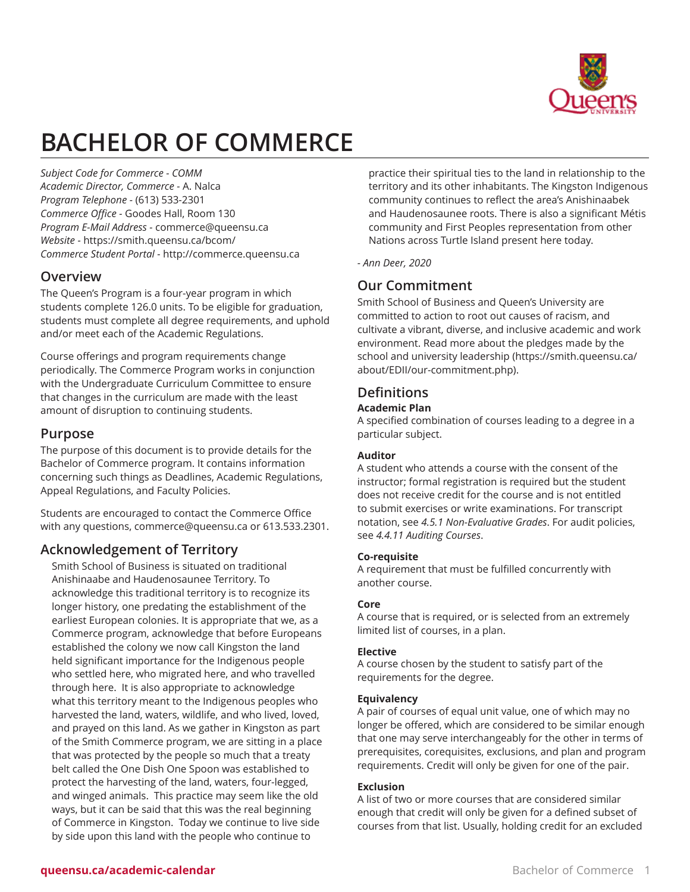

# **BACHELOR OF COMMERCE**

*Subject Code for Commerce - COMM Academic Director, Commerce -* A. Nalca *Program Telephone -* (613) 533-2301 *Commerce Office -* Goodes Hall, Room 130 *Program E-Mail Address -* [commerce@queensu.ca](mailto:commerce@queensu.ca) *Website -* <https://smith.queensu.ca/bcom/> *Commerce Student Portal -* <http://commerce.queensu.ca>

### **Overview**

The Queen's Program is a four-year program in which students complete 126.0 units. To be eligible for graduation, students must complete all degree requirements, and uphold and/or meet each of the Academic Regulations.

Course offerings and program requirements change periodically. The Commerce Program works in conjunction with the Undergraduate Curriculum Committee to ensure that changes in the curriculum are made with the least amount of disruption to continuing students.

# **Purpose**

The purpose of this document is to provide details for the Bachelor of Commerce program. It contains information concerning such things as Deadlines, Academic Regulations, Appeal Regulations, and Faculty Policies.

Students are encouraged to contact the Commerce Office with any questions, [commerce@queensu.ca](mailto:commerce@queensu.ca) or 613.533.2301.

# **Acknowledgement of Territory**

Smith School of Business is situated on traditional Anishinaabe and Haudenosaunee Territory. To acknowledge this traditional territory is to recognize its longer history, one predating the establishment of the earliest European colonies. It is appropriate that we, as a Commerce program, acknowledge that before Europeans established the colony we now call Kingston the land held significant importance for the Indigenous people who settled here, who migrated here, and who travelled through here. It is also appropriate to acknowledge what this territory meant to the Indigenous peoples who harvested the land, waters, wildlife, and who lived, loved, and prayed on this land. As we gather in Kingston as part of the Smith Commerce program, we are sitting in a place that was protected by the people so much that a treaty belt called the One Dish One Spoon was established to protect the harvesting of the land, waters, four-legged, and winged animals. This practice may seem like the old ways, but it can be said that this was the real beginning of Commerce in Kingston. Today we continue to live side by side upon this land with the people who continue to

practice their spiritual ties to the land in relationship to the territory and its other inhabitants. The Kingston Indigenous community continues to reflect the area's Anishinaabek and Haudenosaunee roots. There is also a significant Métis community and First Peoples representation from other Nations across Turtle Island present here today.

*- Ann Deer, 2020*

# **Our Commitment**

Smith School of Business and Queen's University are committed to action to root out causes of racism, and cultivate a vibrant, diverse, and inclusive academic and work environment. Read more about the [pledges](https://smith.queensu.ca/about/EDII/our-commitment.php) made by the [school and university leadership](https://smith.queensu.ca/about/EDII/our-commitment.php) [\(https://smith.queensu.ca/](https://smith.queensu.ca/about/EDII/our-commitment.php) [about/EDII/our-commitment.php\)](https://smith.queensu.ca/about/EDII/our-commitment.php).

# **Definitions**

#### **Academic Plan**

A specified combination of courses leading to a degree in a particular subject.

#### **Auditor**

A student who attends a course with the consent of the instructor; formal registration is required but the student does not receive credit for the course and is not entitled to submit exercises or write examinations. For transcript notation, see *4.5.1 Non-Evaluative Grades*. For audit policies, see *4.4.11 Auditing Courses*.

#### **Co-requisite**

A requirement that must be fulfilled concurrently with another course.

#### **Core**

A course that is required, or is selected from an extremely limited list of courses, in a plan.

#### **Elective**

A course chosen by the student to satisfy part of the requirements for the degree.

#### **Equivalency**

A pair of courses of equal unit value, one of which may no longer be offered, which are considered to be similar enough that one may serve interchangeably for the other in terms of prerequisites, corequisites, exclusions, and plan and program requirements. Credit will only be given for one of the pair.

#### **Exclusion**

A list of two or more courses that are considered similar enough that credit will only be given for a defined subset of courses from that list. Usually, holding credit for an excluded

#### **queensu.ca/academic-calendar Bachelor of Commerce 1**